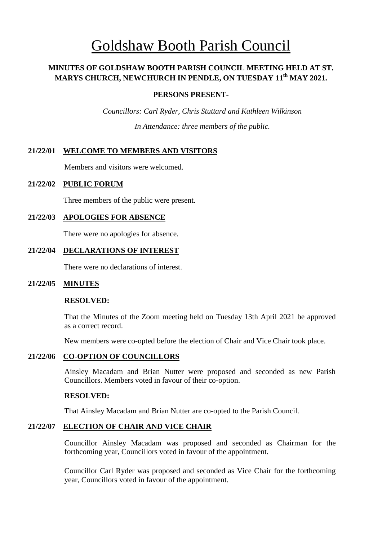# Goldshaw Booth Parish Council

## **MINUTES OF GOLDSHAW BOOTH PARISH COUNCIL MEETING HELD AT ST. MARYS CHURCH, NEWCHURCH IN PENDLE, ON TUESDAY 11 th MAY 2021.**

## **PERSONS PRESENT-**

*Councillors: Carl Ryder, Chris Stuttard and Kathleen Wilkinson In Attendance: three members of the public.*

## **21/22/01 WELCOME TO MEMBERS AND VISITORS**

Members and visitors were welcomed.

## **21/22/02 PUBLIC FORUM**

Three members of the public were present.

## **21/22/03 APOLOGIES FOR ABSENCE**

There were no apologies for absence.

## **21/22/04 DECLARATIONS OF INTEREST**

There were no declarations of interest.

## **21/22/05 MINUTES**

### **RESOLVED:**

That the Minutes of the Zoom meeting held on Tuesday 13th April 2021 be approved as a correct record.

New members were co-opted before the election of Chair and Vice Chair took place.

### **21/22/06 CO-OPTION OF COUNCILLORS**

Ainsley Macadam and Brian Nutter were proposed and seconded as new Parish Councillors. Members voted in favour of their co-option.

### **RESOLVED:**

That Ainsley Macadam and Brian Nutter are co-opted to the Parish Council.

## **21/22/07 ELECTION OF CHAIR AND VICE CHAIR**

Councillor Ainsley Macadam was proposed and seconded as Chairman for the forthcoming year, Councillors voted in favour of the appointment.

Councillor Carl Ryder was proposed and seconded as Vice Chair for the forthcoming year, Councillors voted in favour of the appointment.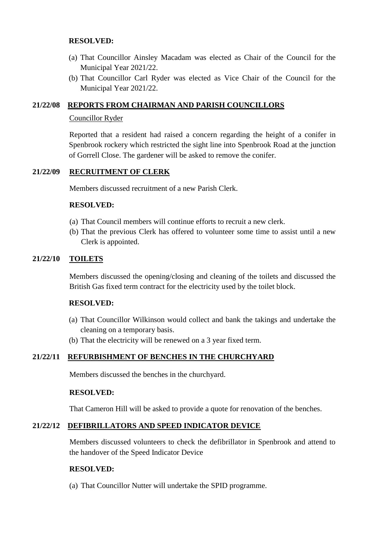## **RESOLVED:**

- (a) That Councillor Ainsley Macadam was elected as Chair of the Council for the Municipal Year 2021/22.
- (b) That Councillor Carl Ryder was elected as Vice Chair of the Council for the Municipal Year 2021/22.

## **21/22/08 REPORTS FROM CHAIRMAN AND PARISH COUNCILLORS**

### Councillor Ryder

Reported that a resident had raised a concern regarding the height of a conifer in Spenbrook rockery which restricted the sight line into Spenbrook Road at the junction of Gorrell Close. The gardener will be asked to remove the conifer.

## **21/22/09 RECRUITMENT OF CLERK**

Members discussed recruitment of a new Parish Clerk.

### **RESOLVED:**

- (a) That Council members will continue efforts to recruit a new clerk.
- (b) That the previous Clerk has offered to volunteer some time to assist until a new Clerk is appointed.

## **21/22/10 TOILETS**

Members discussed the opening/closing and cleaning of the toilets and discussed the British Gas fixed term contract for the electricity used by the toilet block.

### **RESOLVED:**

- (a) That Councillor Wilkinson would collect and bank the takings and undertake the cleaning on a temporary basis.
- (b) That the electricity will be renewed on a 3 year fixed term.

## **21/22/11 REFURBISHMENT OF BENCHES IN THE CHURCHYARD**

Members discussed the benches in the churchyard.

### **RESOLVED:**

That Cameron Hill will be asked to provide a quote for renovation of the benches.

### **21/22/12 DEFIBRILLATORS AND SPEED INDICATOR DEVICE**

Members discussed volunteers to check the defibrillator in Spenbrook and attend to the handover of the Speed Indicator Device

### **RESOLVED:**

(a) That Councillor Nutter will undertake the SPID programme.